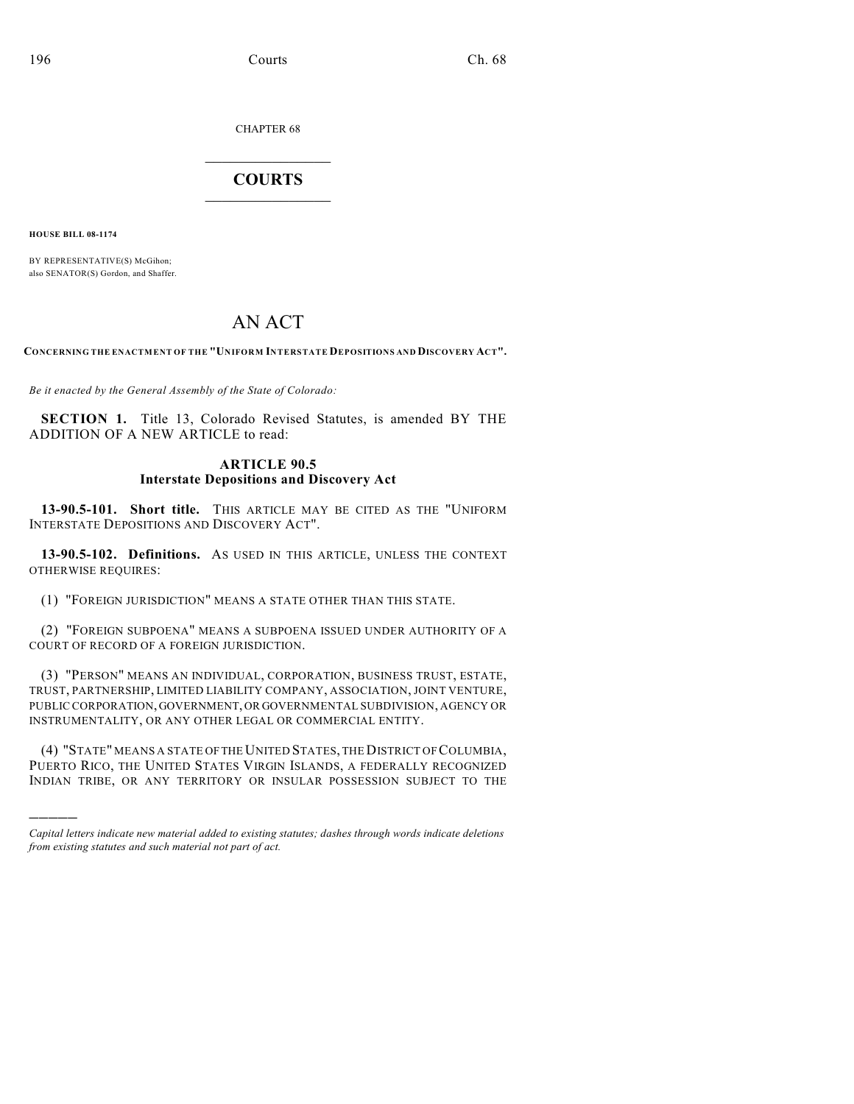CHAPTER 68

## $\overline{\phantom{a}}$  . The set of the set of the set of the set of the set of the set of the set of the set of the set of the set of the set of the set of the set of the set of the set of the set of the set of the set of the set o **COURTS**  $\_$

**HOUSE BILL 08-1174**

)))))

BY REPRESENTATIVE(S) McGihon; also SENATOR(S) Gordon, and Shaffer.

## AN ACT

**CONCERNING THE ENACTMENT OF THE "UNIFORM INTERSTATE DEPOSITIONS AND DISCOVERY ACT".**

*Be it enacted by the General Assembly of the State of Colorado:*

**SECTION 1.** Title 13, Colorado Revised Statutes, is amended BY THE ADDITION OF A NEW ARTICLE to read:

## **ARTICLE 90.5 Interstate Depositions and Discovery Act**

**13-90.5-101. Short title.** THIS ARTICLE MAY BE CITED AS THE "UNIFORM INTERSTATE DEPOSITIONS AND DISCOVERY ACT".

**13-90.5-102. Definitions.** AS USED IN THIS ARTICLE, UNLESS THE CONTEXT OTHERWISE REQUIRES:

(1) "FOREIGN JURISDICTION" MEANS A STATE OTHER THAN THIS STATE.

(2) "FOREIGN SUBPOENA" MEANS A SUBPOENA ISSUED UNDER AUTHORITY OF A COURT OF RECORD OF A FOREIGN JURISDICTION.

(3) "PERSON" MEANS AN INDIVIDUAL, CORPORATION, BUSINESS TRUST, ESTATE, TRUST, PARTNERSHIP, LIMITED LIABILITY COMPANY, ASSOCIATION, JOINT VENTURE, PUBLIC CORPORATION, GOVERNMENT, OR GOVERNMENTAL SUBDIVISION, AGENCY OR INSTRUMENTALITY, OR ANY OTHER LEGAL OR COMMERCIAL ENTITY.

(4) "STATE" MEANS A STATE OF THE UNITED STATES, THE DISTRICT OF COLUMBIA, PUERTO RICO, THE UNITED STATES VIRGIN ISLANDS, A FEDERALLY RECOGNIZED INDIAN TRIBE, OR ANY TERRITORY OR INSULAR POSSESSION SUBJECT TO THE

*Capital letters indicate new material added to existing statutes; dashes through words indicate deletions from existing statutes and such material not part of act.*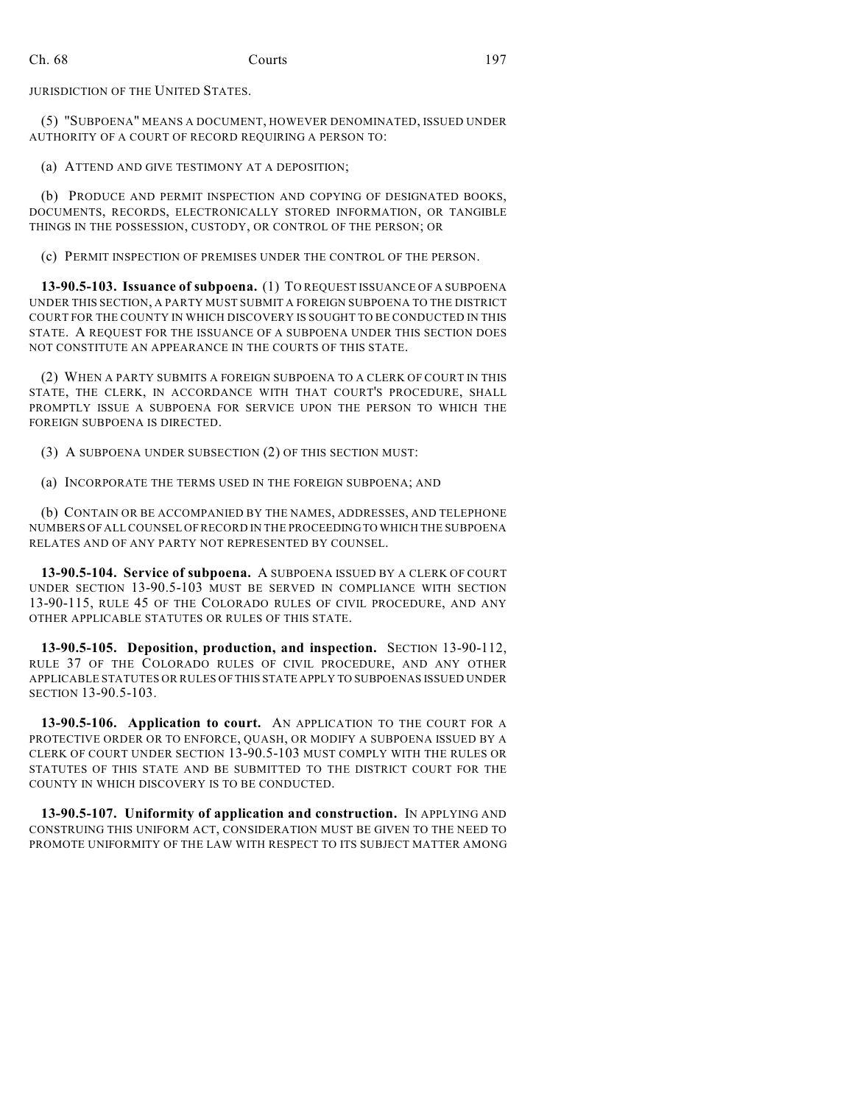JURISDICTION OF THE UNITED STATES.

(5) "SUBPOENA" MEANS A DOCUMENT, HOWEVER DENOMINATED, ISSUED UNDER AUTHORITY OF A COURT OF RECORD REQUIRING A PERSON TO:

(a) ATTEND AND GIVE TESTIMONY AT A DEPOSITION;

(b) PRODUCE AND PERMIT INSPECTION AND COPYING OF DESIGNATED BOOKS, DOCUMENTS, RECORDS, ELECTRONICALLY STORED INFORMATION, OR TANGIBLE THINGS IN THE POSSESSION, CUSTODY, OR CONTROL OF THE PERSON; OR

(c) PERMIT INSPECTION OF PREMISES UNDER THE CONTROL OF THE PERSON.

**13-90.5-103. Issuance of subpoena.** (1) TO REQUEST ISSUANCE OF A SUBPOENA UNDER THIS SECTION, A PARTY MUST SUBMIT A FOREIGN SUBPOENA TO THE DISTRICT COURT FOR THE COUNTY IN WHICH DISCOVERY IS SOUGHT TO BE CONDUCTED IN THIS STATE. A REQUEST FOR THE ISSUANCE OF A SUBPOENA UNDER THIS SECTION DOES NOT CONSTITUTE AN APPEARANCE IN THE COURTS OF THIS STATE.

(2) WHEN A PARTY SUBMITS A FOREIGN SUBPOENA TO A CLERK OF COURT IN THIS STATE, THE CLERK, IN ACCORDANCE WITH THAT COURT'S PROCEDURE, SHALL PROMPTLY ISSUE A SUBPOENA FOR SERVICE UPON THE PERSON TO WHICH THE FOREIGN SUBPOENA IS DIRECTED.

(3) A SUBPOENA UNDER SUBSECTION (2) OF THIS SECTION MUST:

(a) INCORPORATE THE TERMS USED IN THE FOREIGN SUBPOENA; AND

(b) CONTAIN OR BE ACCOMPANIED BY THE NAMES, ADDRESSES, AND TELEPHONE NUMBERS OF ALL COUNSEL OF RECORD IN THE PROCEEDING TO WHICH THE SUBPOENA RELATES AND OF ANY PARTY NOT REPRESENTED BY COUNSEL.

**13-90.5-104. Service of subpoena.** A SUBPOENA ISSUED BY A CLERK OF COURT UNDER SECTION 13-90.5-103 MUST BE SERVED IN COMPLIANCE WITH SECTION 13-90-115, RULE 45 OF THE COLORADO RULES OF CIVIL PROCEDURE, AND ANY OTHER APPLICABLE STATUTES OR RULES OF THIS STATE.

**13-90.5-105. Deposition, production, and inspection.** SECTION 13-90-112, RULE 37 OF THE COLORADO RULES OF CIVIL PROCEDURE, AND ANY OTHER APPLICABLE STATUTES OR RULES OF THIS STATE APPLY TO SUBPOENAS ISSUED UNDER SECTION 13-90.5-103.

**13-90.5-106. Application to court.** AN APPLICATION TO THE COURT FOR A PROTECTIVE ORDER OR TO ENFORCE, QUASH, OR MODIFY A SUBPOENA ISSUED BY A CLERK OF COURT UNDER SECTION 13-90.5-103 MUST COMPLY WITH THE RULES OR STATUTES OF THIS STATE AND BE SUBMITTED TO THE DISTRICT COURT FOR THE COUNTY IN WHICH DISCOVERY IS TO BE CONDUCTED.

**13-90.5-107. Uniformity of application and construction.** IN APPLYING AND CONSTRUING THIS UNIFORM ACT, CONSIDERATION MUST BE GIVEN TO THE NEED TO PROMOTE UNIFORMITY OF THE LAW WITH RESPECT TO ITS SUBJECT MATTER AMONG